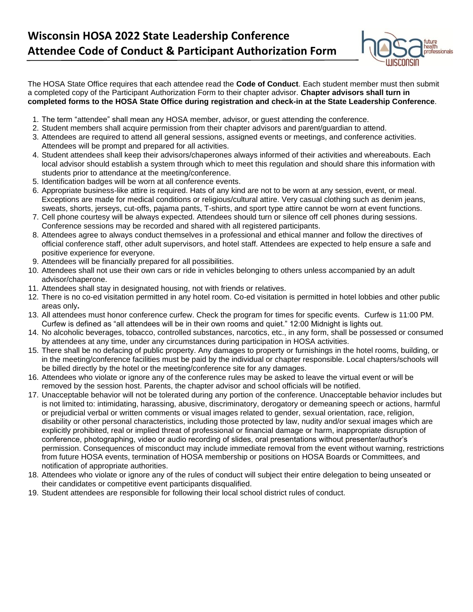

The HOSA State Office requires that each attendee read the **Code of Conduct**. Each student member must then submit a completed copy of the Participant Authorization Form to their chapter advisor. **Chapter advisors shall turn in completed forms to the HOSA State Office during registration and check-in at the State Leadership Conference**.

- 1. The term "attendee" shall mean any HOSA member, advisor, or guest attending the conference.
- 2. Student members shall acquire permission from their chapter advisors and parent/guardian to attend.
- 3. Attendees are required to attend all general sessions, assigned events or meetings, and conference activities. Attendees will be prompt and prepared for all activities.
- 4. Student attendees shall keep their advisors/chaperones always informed of their activities and whereabouts. Each local advisor should establish a system through which to meet this regulation and should share this information with students prior to attendance at the meeting/conference.
- 5. Identification badges will be worn at all conference events.
- 6. Appropriate business-like attire is required. Hats of any kind are not to be worn at any session, event, or meal. Exceptions are made for medical conditions or religious/cultural attire. Very casual clothing such as denim jeans, sweats, shorts, jerseys, cut-offs, pajama pants, T-shirts, and sport type attire cannot be worn at event functions.
- 7. Cell phone courtesy will be always expected. Attendees should turn or silence off cell phones during sessions. Conference sessions may be recorded and shared with all registered participants.
- 8. Attendees agree to always conduct themselves in a professional and ethical manner and follow the directives of official conference staff, other adult supervisors, and hotel staff. Attendees are expected to help ensure a safe and positive experience for everyone.
- 9. Attendees will be financially prepared for all possibilities.
- 10. Attendees shall not use their own cars or ride in vehicles belonging to others unless accompanied by an adult advisor/chaperone.
- 11. Attendees shall stay in designated housing, not with friends or relatives.
- 12. There is no co-ed visitation permitted in any hotel room. Co-ed visitation is permitted in hotel lobbies and other public areas only**.**
- 13. All attendees must honor conference curfew. Check the program for times for specific events. Curfew is 11:00 PM. Curfew is defined as "all attendees will be in their own rooms and quiet." 12:00 Midnight is lights out.
- 14. No alcoholic beverages, tobacco, controlled substances, narcotics, etc., in any form, shall be possessed or consumed by attendees at any time, under any circumstances during participation in HOSA activities.
- 15. There shall be no defacing of public property. Any damages to property or furnishings in the hotel rooms, building, or in the meeting/conference facilities must be paid by the individual or chapter responsible. Local chapters/schools will be billed directly by the hotel or the meeting/conference site for any damages.
- 16. Attendees who violate or ignore any of the conference rules may be asked to leave the virtual event or will be removed by the session host. Parents, the chapter advisor and school officials will be notified.
- 17. Unacceptable behavior will not be tolerated during any portion of the conference. Unacceptable behavior includes but is not limited to: intimidating, harassing, abusive, discriminatory, derogatory or demeaning speech or actions, harmful or prejudicial verbal or written comments or visual images related to gender, sexual orientation, race, religion, disability or other personal characteristics, including those protected by law, nudity and/or sexual images which are explicitly prohibited, real or implied threat of professional or financial damage or harm, inappropriate disruption of conference, photographing, video or audio recording of slides, oral presentations without presenter/author's permission. Consequences of misconduct may include immediate removal from the event without warning, restrictions from future HOSA events, termination of HOSA membership or positions on HOSA Boards or Committees, and notification of appropriate authorities.
- 18. Attendees who violate or ignore any of the rules of conduct will subject their entire delegation to being unseated or their candidates or competitive event participants disqualified.
- 19. Student attendees are responsible for following their local school district rules of conduct.